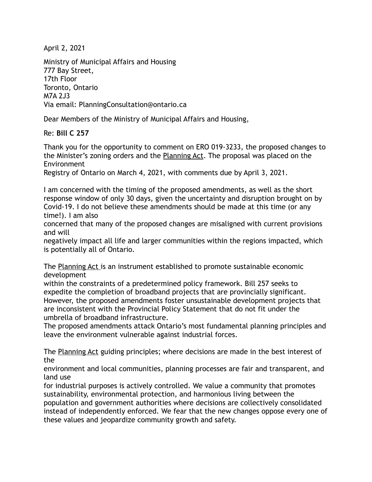April 2, 2021

Ministry of Municipal Affairs and Housing 777 Bay Street, 17th Floor Toronto, Ontario M7A 2J3 Via email: PlanningConsultation@ontario.ca

Dear Members of the Ministry of Municipal Affairs and Housing,

Re: **Bill C 257**

Thank you for the opportunity to comment on ERO 019-3233, the proposed changes to the Minister's zoning orders and the Planning Act. The proposal was placed on the Environment

Registry of Ontario on March 4, 2021, with comments due by April 3, 2021.

I am concerned with the timing of the proposed amendments, as well as the short response window of only 30 days, given the uncertainty and disruption brought on by Covid-19. I do not believe these amendments should be made at this time (or any time!). I am also

concerned that many of the proposed changes are misaligned with current provisions and will

negatively impact all life and larger communities within the regions impacted, which is potentially all of Ontario.

The Planning Act is an instrument established to promote sustainable economic development

within the constraints of a predetermined policy framework. Bill 257 seeks to expedite the completion of broadband projects that are provincially significant. However, the proposed amendments foster unsustainable development projects that are inconsistent with the Provincial Policy Statement that do not fit under the umbrella of broadband infrastructure.

The proposed amendments attack Ontario's most fundamental planning principles and leave the environment vulnerable against industrial forces.

The Planning Act guiding principles; where decisions are made in the best interest of the

environment and local communities, planning processes are fair and transparent, and land use

for industrial purposes is actively controlled. We value a community that promotes sustainability, environmental protection, and harmonious living between the population and government authorities where decisions are collectively consolidated instead of independently enforced. We fear that the new changes oppose every one of these values and jeopardize community growth and safety.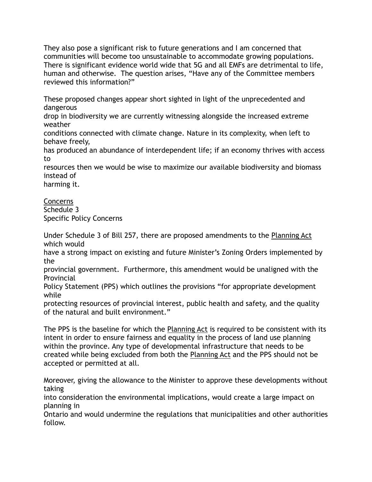They also pose a significant risk to future generations and I am concerned that communities will become too unsustainable to accommodate growing populations. There is significant evidence world wide that 5G and all EMFs are detrimental to life, human and otherwise. The question arises, "Have any of the Committee members reviewed this information?"

These proposed changes appear short sighted in light of the unprecedented and dangerous

drop in biodiversity we are currently witnessing alongside the increased extreme weather

conditions connected with climate change. Nature in its complexity, when left to behave freely,

has produced an abundance of interdependent life; if an economy thrives with access to

resources then we would be wise to maximize our available biodiversity and biomass instead of

harming it.

Concerns Schedule 3 Specific Policy Concerns

Under Schedule 3 of Bill 257, there are proposed amendments to the Planning Act which would

have a strong impact on existing and future Minister's Zoning Orders implemented by the

provincial government. Furthermore, this amendment would be unaligned with the Provincial

Policy Statement (PPS) which outlines the provisions "for appropriate development while

protecting resources of provincial interest, public health and safety, and the quality of the natural and built environment."

The PPS is the baseline for which the Planning Act is required to be consistent with its intent in order to ensure fairness and equality in the process of land use planning within the province. Any type of developmental infrastructure that needs to be created while being excluded from both the Planning Act and the PPS should not be accepted or permitted at all.

Moreover, giving the allowance to the Minister to approve these developments without taking

into consideration the environmental implications, would create a large impact on planning in

Ontario and would undermine the regulations that municipalities and other authorities follow.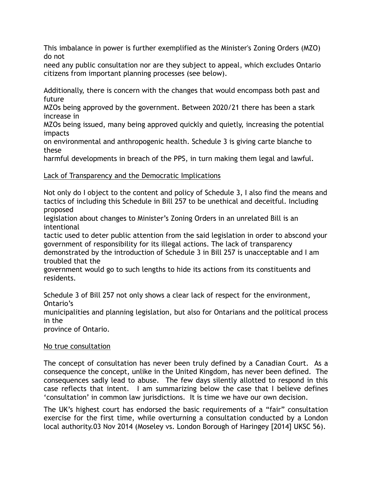This imbalance in power is further exemplified as the Minister's Zoning Orders (MZO) do not

need any public consultation nor are they subject to appeal, which excludes Ontario citizens from important planning processes (see below).

Additionally, there is concern with the changes that would encompass both past and future

MZOs being approved by the government. Between 2020/21 there has been a stark increase in

MZOs being issued, many being approved quickly and quietly, increasing the potential impacts

on environmental and anthropogenic health. Schedule 3 is giving carte blanche to these

harmful developments in breach of the PPS, in turn making them legal and lawful.

## Lack of Transparency and the Democratic Implications

Not only do I object to the content and policy of Schedule 3, I also find the means and tactics of including this Schedule in Bill 257 to be unethical and deceitful. Including proposed

legislation about changes to Minister's Zoning Orders in an unrelated Bill is an intentional

tactic used to deter public attention from the said legislation in order to abscond your government of responsibility for its illegal actions. The lack of transparency demonstrated by the introduction of Schedule 3 in Bill 257 is unacceptable and I am troubled that the

government would go to such lengths to hide its actions from its constituents and residents.

Schedule 3 of Bill 257 not only shows a clear lack of respect for the environment, Ontario's

municipalities and planning legislation, but also for Ontarians and the political process in the

province of Ontario.

## No true consultation

The concept of consultation has never been truly defined by a Canadian Court. As a consequence the concept, unlike in the United Kingdom, has never been defined. The consequences sadly lead to abuse. The few days silently allotted to respond in this case reflects that intent. I am summarizing below the case that I believe defines 'consultation' in common law jurisdictions. It is time we have our own decision.

The UK's highest court has endorsed the basic requirements of a "fair" consultation exercise for the first time, while overturning a consultation conducted by a London local authority.03 Nov 2014 (Moseley vs. London Borough of Haringey [2014] UKSC 56).